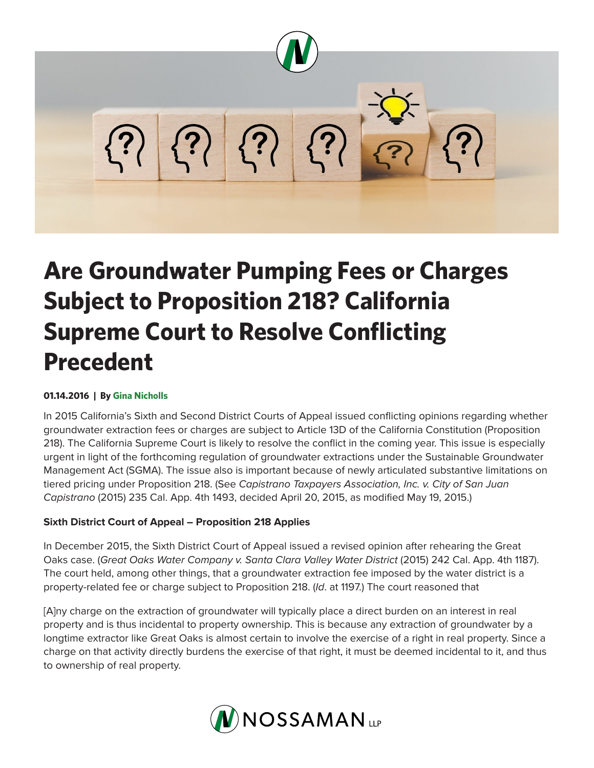

# **Are Groundwater Pumping Fees or Charges Subject to Proposition 218? California Supreme Court to Resolve Conflicting Precedent**

#### **01.14.2016 | By Gina Nicholls**

In 2015 California's Sixth and Second District Courts of Appeal issued conflicting opinions regarding whether groundwater extraction fees or charges are subject to Article 13D of the California Constitution (Proposition 218). The California Supreme Court is likely to resolve the conflict in the coming year. This issue is especially urgent in light of the forthcoming regulation of groundwater extractions under the Sustainable Groundwater Management Act (SGMA). The issue also is important because of newly articulated substantive limitations on tiered pricing under Proposition 218. (See *Capistrano Taxpayers Association, Inc. v. City of San Juan Capistrano* (2015) 235 Cal. App. 4th 1493, decided April 20, 2015, as modified May 19, 2015.)

# **Sixth District Court of Appeal – Proposition 218 Applies**

In December 2015, the Sixth District Court of Appeal issued a revised opinion after rehearing the Great Oaks case. (*Great Oaks Water Company v. Santa Clara Valley Water District* (2015) 242 Cal. App. 4th 1187). The court held, among other things, that a groundwater extraction fee imposed by the water district is a property-related fee or charge subject to Proposition 218. (*Id*. at 1197.) The court reasoned that

[A]ny charge on the extraction of groundwater will typically place a direct burden on an interest in real property and is thus incidental to property ownership. This is because any extraction of groundwater by a longtime extractor like Great Oaks is almost certain to involve the exercise of a right in real property. Since a charge on that activity directly burdens the exercise of that right, it must be deemed incidental to it, and thus to ownership of real property.

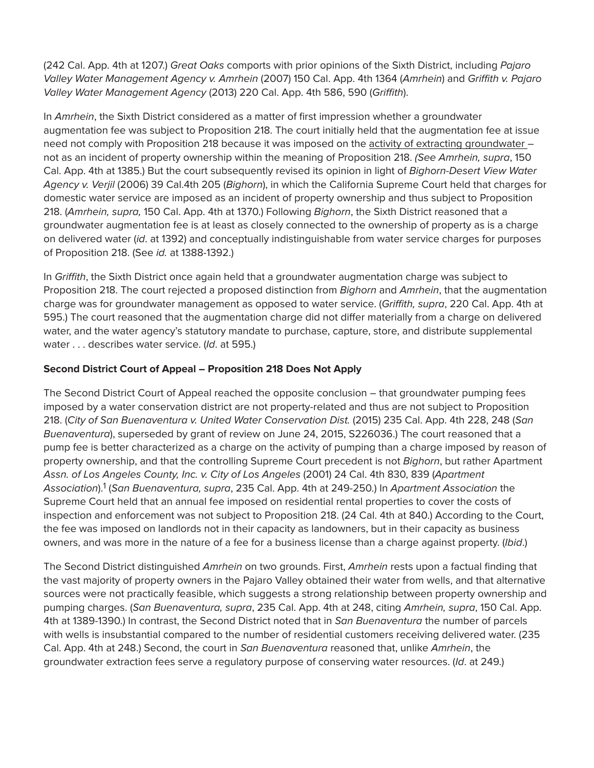(242 Cal. App. 4th at 1207.) *Great Oaks* comports with prior opinions of the Sixth District, including *Pajaro Valley Water Management Agency v. Amrhein* (2007) 150 Cal. App. 4th 1364 (*Amrhein*) and *Griffith v. Pajaro Valley Water Management Agency* (2013) 220 Cal. App. 4th 586, 590 (*Griffith*).

In *Amrhein*, the Sixth District considered as a matter of first impression whether a groundwater augmentation fee was subject to Proposition 218. The court initially held that the augmentation fee at issue need not comply with Proposition 218 because it was imposed on the activity of extracting groundwater – not as an incident of property ownership within the meaning of Proposition 218. *(See Amrhein, supra*, 150 Cal. App. 4th at 1385.) But the court subsequently revised its opinion in light of *Bighorn-Desert View Water Agency v. Verjil* (2006) 39 Cal.4th 205 (*Bighorn*), in which the California Supreme Court held that charges for domestic water service are imposed as an incident of property ownership and thus subject to Proposition 218. (*Amrhein, supra,* 150 Cal. App. 4th at 1370.) Following *Bighorn*, the Sixth District reasoned that a groundwater augmentation fee is at least as closely connected to the ownership of property as is a charge on delivered water (*id*. at 1392) and conceptually indistinguishable from water service charges for purposes of Proposition 218. (See *id.* at 1388-1392.)

In *Griffith*, the Sixth District once again held that a groundwater augmentation charge was subject to Proposition 218. The court rejected a proposed distinction from *Bighorn* and *Amrhein*, that the augmentation charge was for groundwater management as opposed to water service. (*Griffith, supra*, 220 Cal. App. 4th at 595.) The court reasoned that the augmentation charge did not differ materially from a charge on delivered water, and the water agency's statutory mandate to purchase, capture, store, and distribute supplemental water . . . describes water service. (*Id*. at 595.)

## **Second District Court of Appeal – Proposition 218 Does Not Apply**

The Second District Court of Appeal reached the opposite conclusion – that groundwater pumping fees imposed by a water conservation district are not property-related and thus are not subject to Proposition 218. (*City of San Buenaventura v. United Water Conservation Dist.* (2015) 235 Cal. App. 4th 228, 248 (*San Buenaventura*), superseded by grant of review on June 24, 2015, S226036.) The court reasoned that a pump fee is better characterized as a charge on the activity of pumping than a charge imposed by reason of property ownership, and that the controlling Supreme Court precedent is not *Bighorn*, but rather Apartment *Assn. of Los Angeles County, Inc. v. City of Los Angeles* (2001) 24 Cal. 4th 830, 839 (*Apartment Association*).1 (*San Buenaventura, supra*, 235 Cal. App. 4th at 249-250.) In *Apartment Association* the Supreme Court held that an annual fee imposed on residential rental properties to cover the costs of inspection and enforcement was not subject to Proposition 218. (24 Cal. 4th at 840.) According to the Court, the fee was imposed on landlords not in their capacity as landowners, but in their capacity as business owners, and was more in the nature of a fee for a business license than a charge against property. (*Ibid*.)

The Second District distinguished *Amrhein* on two grounds. First, *Amrhein* rests upon a factual finding that the vast majority of property owners in the Pajaro Valley obtained their water from wells, and that alternative sources were not practically feasible, which suggests a strong relationship between property ownership and pumping charges. (*San Buenaventura, supra*, 235 Cal. App. 4th at 248, citing *Amrhein, supra*, 150 Cal. App. 4th at 1389-1390.) In contrast, the Second District noted that in *San Buenaventura* the number of parcels with wells is insubstantial compared to the number of residential customers receiving delivered water. (235 Cal. App. 4th at 248.) Second, the court in *San Buenaventura* reasoned that, unlike *Amrhein*, the groundwater extraction fees serve a regulatory purpose of conserving water resources. (*Id*. at 249.)